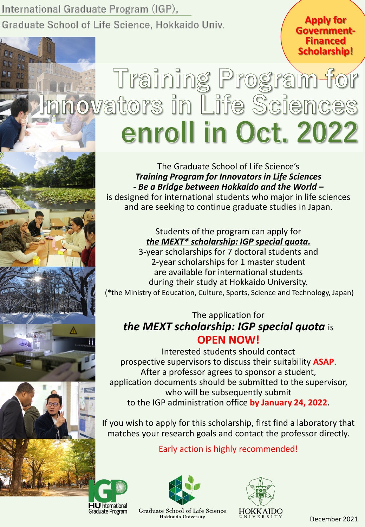International Graduate Program (IGP), Graduate School of Life Science, Hokkaido Univ.

**Apply for Government- Financed Scholarship!**

# Training Program for<br>novators in Life Sciences enroll in Oct. 2022

The Graduate School of Life Science's *Training Program for Innovators in Life Sciences - Be a Bridge between Hokkaido and the World –* is designed for international students who major in life sciences

and are seeking to continue graduate studies in Japan.

Students of the program can apply for *the MEXT\* scholarship: IGP special quota.* 3-year scholarships for 7 doctoral students and 2-year scholarships for 1 master student are available for international students during their study at Hokkaido University. (\*the Ministry of Education, Culture, Sports, Science and Technology, Japan)

### The application for *the MEXT scholarship: IGP special quota* is **OPEN NOW!**

Interested students should contact prospective supervisors to discuss their suitability **ASAP**. After a professor agrees to sponsor a student, application documents should be submitted to the supervisor, who will be subsequently submit to the IGP administration office **by January 24, 2022**.

If you wish to apply for this scholarship, first find a laboratory that matches your research goals and contact the professor directly.

## Early action is highly recommended!



Hokkaido University



HOKKAIDO

December 2021

**HU** International Graduate Program